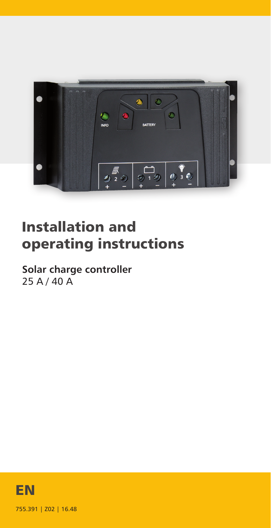

# Installation and operating instructions

**Solar charge controller** 25 A / 40 A

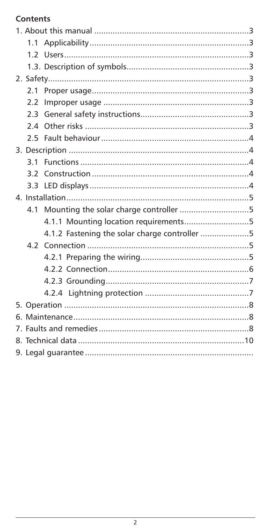## **Contents**

| 11 |                                               |  |
|----|-----------------------------------------------|--|
|    |                                               |  |
|    |                                               |  |
|    |                                               |  |
|    |                                               |  |
|    |                                               |  |
|    |                                               |  |
|    |                                               |  |
|    |                                               |  |
|    |                                               |  |
|    |                                               |  |
|    |                                               |  |
|    |                                               |  |
|    |                                               |  |
| 41 | Mounting the solar charge controller 5        |  |
|    | 4.1.1 Mounting location requirements5         |  |
|    | 4.1.2 Fastening the solar charge controller 5 |  |
|    |                                               |  |
|    |                                               |  |
|    |                                               |  |
|    |                                               |  |
|    |                                               |  |
|    |                                               |  |
|    |                                               |  |
|    |                                               |  |
|    |                                               |  |
|    |                                               |  |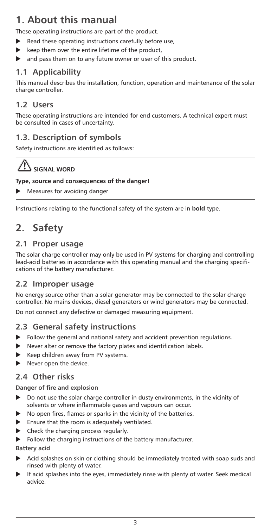## <span id="page-2-0"></span>**1. About this manual**

These operating instructions are part of the product.

- Read these operating instructions carefully before use,
- $\blacktriangleright$  keep them over the entire lifetime of the product,
- and pass them on to any future owner or user of this product.

## **1.1 Applicability**

This manual describes the installation, function, operation and maintenance of the solar charge controller.

## **1.2 Users**

These operating instructions are intended for end customers. A technical expert must be consulted in cases of uncertainty.

## **1.3. Description of symbols**

Safety instructions are identified as follows:

# **SIGNAL WORD**

**Type, source and consequences of the danger!**

Measures for avoiding danger

Instructions relating to the functional safety of the system are in **bold** type.

## **2. Safety**

## **2.1 Proper usage**

The solar charge controller may only be used in PV systems for charging and controlling lead-acid batteries in accordance with this operating manual and the charging specifications of the battery manufacturer.

### **2.2 Improper usage**

No energy source other than a solar generator may be connected to the solar charge controller. No mains devices, diesel generators or wind generators may be connected.

Do not connect any defective or damaged measuring equipment.

## **2.3 General safety instructions**

- $\blacktriangleright$  Follow the general and national safety and accident prevention regulations.
- Never alter or remove the factory plates and identification labels.
- $\blacktriangleright$  Keep children away from PV systems.
- Never open the device.

### **2.4 Other risks**

**Danger of fire and explosion**

- Do not use the solar charge controller in dusty environments, in the vicinity of solvents or where inflammable gases and vapours can occur.
- No open fires, flames or sparks in the vicinity of the batteries.
- Ensure that the room is adequately ventilated.
- $\blacktriangleright$  Check the charging process regularly.

 $\blacktriangleright$  Follow the charging instructions of the battery manufacturer.

**Battery acid**

- Acid splashes on skin or clothing should be immediately treated with soap suds and rinsed with plenty of water.
- If acid splashes into the eyes, immediately rinse with plenty of water. Seek medical advice.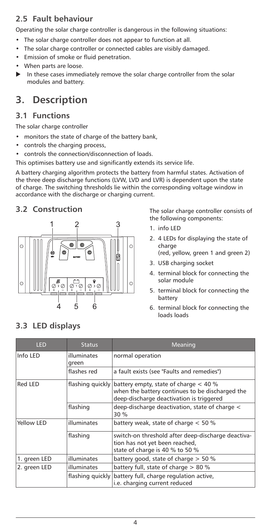## <span id="page-3-0"></span>**2.5 Fault behaviour**

Operating the solar charge controller is dangerous in the following situations:

- The solar charge controller does not appear to function at all.
- The solar charge controller or connected cables are visibly damaged.
- Emission of smoke or fluid penetration.
- When parts are loose.
- In these cases immediately remove the solar charge controller from the solar modules and battery.

## **3. Description**

## **3.1 Functions**

The solar charge controller

- monitors the state of charge of the battery bank,
- controls the charging process,
- controls the connection/disconnection of loads.
- This optimises battery use and significantly extends its service life.

A battery charging algorithm protects the battery from harmful states. Activation of the three deep discharge functions (LVW, LVD and LVR) is dependent upon the state of charge. The switching thresholds lie within the corresponding voltage window in accordance with the discharge or charging current.

## **3.2 Construction**



The solar charge controller consists of the following components:

- 1. info LED
- 2. 4 LEDs for displaying the state of charge (red, yellow, green 1 and green 2)
- 3. USB charging socket
- 4. terminal block for connecting the solar module
- 5. terminal block for connecting the battery
- 6. terminal block for connecting the loads loads

| LED                         | <b>Status</b>        | Meaning                                                                                                                                |  |
|-----------------------------|----------------------|----------------------------------------------------------------------------------------------------------------------------------------|--|
| Info LED                    | illuminates<br>green | normal operation                                                                                                                       |  |
|                             | flashes red          | a fault exists (see "Faults and remedies")                                                                                             |  |
| Red LED<br>flashing quickly |                      | battery empty, state of charge $<$ 40 %<br>when the battery continues to be discharged the<br>deep-discharge deactivation is triggered |  |
|                             | flashing             | deep-discharge deactivation, state of charge <<br>30 %                                                                                 |  |
| Yellow LED                  | illuminates          | battery weak, state of charge $< 50$ %                                                                                                 |  |
|                             | flashing             | switch-on threshold after deep-discharge deactiva-<br>tion has not yet been reached,<br>state of charge is 40 % to 50 %                |  |
| 1. green LED                | illuminates          | battery good, state of charge $>$ 50 %                                                                                                 |  |
| 2. green LED                | illuminates          | battery full, state of charge $> 80$ %                                                                                                 |  |
|                             | flashing quickly     | battery full, charge regulation active,<br>i.e. charging current reduced                                                               |  |

## **3.3 LED displays**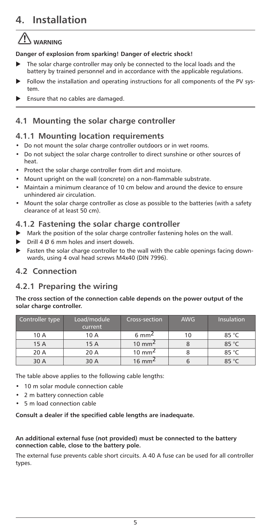## <span id="page-4-0"></span>**4. Installation**

## **WARNING**

**Danger of explosion from sparking! Danger of electric shock!**

- The solar charge controller may only be connected to the local loads and the battery by trained personnel and in accordance with the applicable regulations.
- Follow the installation and operating instructions for all components of the PV system.
- Ensure that no cables are damaged.

## **4.1 Mounting the solar charge controller**

### **4.1.1 Mounting location requirements**

- Do not mount the solar charge controller outdoors or in wet rooms.
- Do not subject the solar charge controller to direct sunshine or other sources of heat.
- Protect the solar charge controller from dirt and moisture.
- Mount upright on the wall (concrete) on a non-flammable substrate.
- Maintain a minimum clearance of 10 cm below and around the device to ensure unhindered air circulation.
- Mount the solar charge controller as close as possible to the batteries (with a safety clearance of at least 50 cm).

### **4.1.2 Fastening the solar charge controller**

- Mark the position of the solar charge controller fastening holes on the wall.
- Drill 4  $\emptyset$  6 mm holes and insert dowels.
- Fasten the solar charge controller to the wall with the cable openings facing downwards, using 4 oval head screws M4x40 (DIN 7996).

### **4.2 Connection**

## **4.2.1 Preparing the wiring**

**The cross section of the connection cable depends on the power output of the solar charge controller.**

| Controller type | Load/module<br>current | Cross-section     | <b>AWG</b> | Insulation |
|-----------------|------------------------|-------------------|------------|------------|
| 10 A            | 10 A                   | $6 \text{ mm}^2$  | 10         | 85 °C      |
| 15 A            | 15 A                   | $10 \text{ mm}^2$ |            | 85 °C      |
| 20 A            | 20 A                   | $10 \text{ mm}^2$ |            | 85 °C      |
| 30 A            | 30 A                   | $16 \text{ mm}^2$ |            | 85 °C      |

The table above applies to the following cable lengths:

- 10 m solar module connection cable
- 2 m battery connection cable
- 5 m load connection cable

#### **Consult a dealer if the specified cable lengths are inadequate.**

#### **An additional external fuse (not provided) must be connected to the battery connection cable, close to the battery pole.**

The external fuse prevents cable short circuits. A 40 A fuse can be used for all controller types.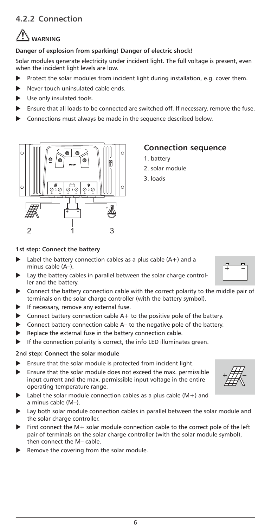# <span id="page-5-0"></span> **WARNING**

#### **Danger of explosion from sparking! Danger of electric shock!**

Solar modules generate electricity under incident light. The full voltage is present, even when the incident light levels are low.

- Protect the solar modules from incident light during installation, e.g. cover them.
- Never touch uninsulated cable ends.
- Use only insulated tools.
- Ensure that all loads to be connected are switched off. If necessary, remove the fuse.
- Connections must always be made in the sequence described below.



## **Connection sequence**

- 1. battery
- 2. solar module
- 3. loads

#### **1st step: Connect the battery**

- Label the battery connection cables as a plus cable  $(A+)$  and a minus cable (A–).
- Lay the battery cables in parallel between the solar charge controller and the battery.
- Connect the battery connection cable with the correct polarity to the middle pair of terminals on the solar charge controller (with the battery symbol).
- If necessary, remove any external fuse.
- Connect battery connection cable  $A+$  to the positive pole of the battery.
- Connect battery connection cable A– to the negative pole of the battery.
- Replace the external fuse in the battery connection cable.
- $\blacktriangleright$  If the connection polarity is correct, the info LED illuminates green.

#### **2nd step: Connect the solar module**

- Ensure that the solar module is protected from incident light.
- Ensure that the solar module does not exceed the max. permissible input current and the max. permissible input voltage in the entire operating temperature range.
- Label the solar module connection cables as a plus cable (M+) and a minus cable (M–).
- Lay both solar module connection cables in parallel between the solar module and the solar charge controller.
- First connect the  $M+$  solar module connection cable to the correct pole of the left pair of terminals on the solar charge controller (with the solar module symbol), then connect the M– cable.
- Remove the covering from the solar module.

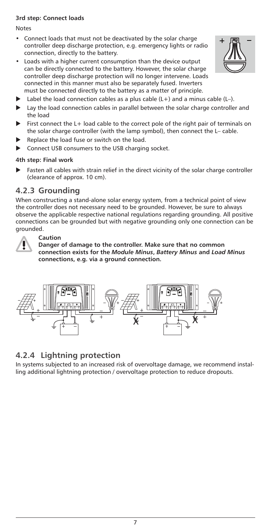#### <span id="page-6-0"></span>**3rd step: Connect loads**

#### Notes

- Connect loads that must not be deactivated by the solar charge controller deep discharge protection, e.g. emergency lights or radio connection, directly to the battery.
- Loads with a higher current consumption than the device output can be directly connected to the battery. However, the solar charge controller deep discharge protection will no longer intervene. Loads connected in this manner must also be separately fused. Inverters must be connected directly to the battery as a matter of principle.
- Label the load connection cables as a plus cable  $(L+)$  and a minus cable  $(L-)$ .
- Lay the load connection cables in parallel between the solar charge controller and the load
- First connect the  $L+$  load cable to the correct pole of the right pair of terminals on the solar charge controller (with the lamp symbol), then connect the L– cable.
- Replace the load fuse or switch on the load.
- Connect USB consumers to the USB charging socket.

#### **4th step: Final work**

Fasten all cables with strain relief in the direct vicinity of the solar charge controller (clearance of approx. 10 cm).

#### **4.2.3 Grounding**

When constructing a stand-alone solar energy system, from a technical point of view the controller does not necessary need to be grounded. However, be sure to always observe the applicable respective national regulations regarding grounding. All positive connections can be grounded but with negative grounding only one connection can be grounded.



#### **Caution**

**Danger of damage to the controller. Make sure that no common connection exists for the** *Module Minus***,** *Battery Minus* **and** *Load Minus* **connections, e.g. via a ground connection.** 



### **4.2.4 Lightning protection**

In systems subjected to an increased risk of overvoltage damage, we recommend installing additional lightning protection / overvoltage protection to reduce dropouts.

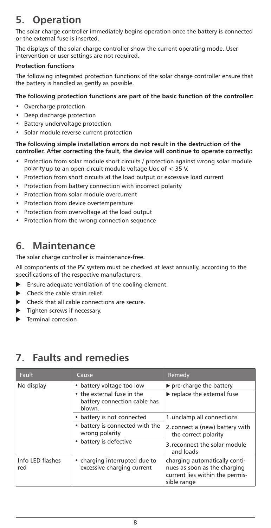## <span id="page-7-0"></span>**5. Operation**

The solar charge controller immediately begins operation once the battery is connected or the external fuse is inserted.

The displays of the solar charge controller show the current operating mode. User intervention or user settings are not required.

#### **Protection functions**

The following integrated protection functions of the solar charge controller ensure that the battery is handled as gently as possible.

#### **The following protection functions are part of the basic function of the controller:**

- Overcharge protection
- Deep discharge protection
- Battery undervoltage protection
- Solar module reverse current protection

#### **The following simple installation errors do not result in the destruction of the controller. After correcting the fault, the device will continue to operate correctly:**

- Protection from solar module short circuits / protection against wrong solar module polarity up to an open-circuit module voltage Uoc of  $<$  35 V.
- Protection from short circuits at the load output or excessive load current
- Protection from battery connection with incorrect polarity
- Protection from solar module overcurrent
- Protection from device overtemperature
- Protection from overvoltage at the load output
- Protection from the wrong connection sequence

## **6. Maintenance**

The solar charge controller is maintenance-free.

All components of the PV system must be checked at least annually, according to the specifications of the respective manufacturers.

- $\blacktriangleright$  Ensure adequate ventilation of the cooling element.
- Check the cable strain relief.
- Check that all cable connections are secure.
- Tighten screws if necessary.
- Terminal corrosion

## **7. Faults and remedies**

| Fault                   | Cause                                                                | Remedy                                                                                                          |  |
|-------------------------|----------------------------------------------------------------------|-----------------------------------------------------------------------------------------------------------------|--|
| No display              | • battery voltage too low                                            | $\triangleright$ pre-charge the battery                                                                         |  |
|                         | • the external fuse in the<br>battery connection cable has<br>blown. | replace the external fuse                                                                                       |  |
|                         | • battery is not connected                                           | 1.unclamp all connections                                                                                       |  |
|                         | • battery is connected with the<br>wrong polarity                    | 2. connect a (new) battery with<br>the correct polarity                                                         |  |
|                         | • battery is defective                                               | 3. reconnect the solar module<br>and loads                                                                      |  |
| Info LED flashes<br>red | • charging interrupted due to<br>excessive charging current          | charging automatically conti-<br>nues as soon as the charging<br>current lies within the permis-<br>sible range |  |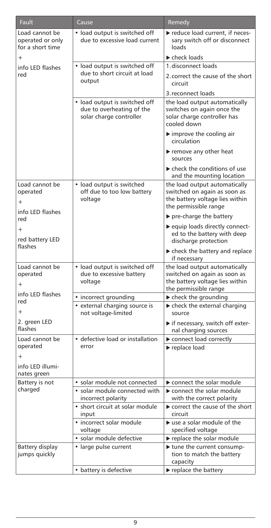| Fault                                                  | Cause                                                                                 | Remedy                                                                                                                    |
|--------------------------------------------------------|---------------------------------------------------------------------------------------|---------------------------------------------------------------------------------------------------------------------------|
| Load cannot be<br>operated or only<br>for a short time | • load output is switched off<br>due to excessive load current                        | reduce load current, if neces-<br>sary switch off or disconnect<br>loads                                                  |
|                                                        |                                                                                       | check loads                                                                                                               |
| info LED flashes                                       | • load output is switched off                                                         | 1. disconnect loads                                                                                                       |
| red                                                    | due to short circuit at load<br>output                                                | 2. correct the cause of the short<br>circuit                                                                              |
|                                                        |                                                                                       | 3. reconnect loads                                                                                                        |
|                                                        | • load output is switched off<br>due to overheating of the<br>solar charge controller | the load output automatically<br>switches on again once the<br>solar charge controller has<br>cooled down                 |
|                                                        |                                                                                       | $\blacktriangleright$ improve the cooling air<br>circulation                                                              |
|                                                        |                                                                                       | remove any other heat<br>sources                                                                                          |
|                                                        |                                                                                       | ► check the conditions of use<br>and the mounting location                                                                |
| Load cannot be<br>operated<br>$^{+}$                   | • load output is switched<br>off due to too low battery<br>voltage                    | the load output automatically<br>switched on again as soon as<br>the battery voltage lies within<br>the permissible range |
| info LED flashes<br>red                                |                                                                                       | pre-charge the battery                                                                                                    |
| $^{+}$<br>red battery LED                              |                                                                                       | equip loads directly connect-<br>ed to the battery with deep<br>discharge protection                                      |
| flashes                                                |                                                                                       | the check the battery and replace<br>if necessary                                                                         |
| Load cannot be<br>operated<br>$^{+}$                   | • load output is switched off<br>due to excessive battery<br>voltage                  | the load output automatically<br>switched on again as soon as<br>the battery voltage lies within<br>the permissible range |
| info LED flashes                                       | • incorrect grounding                                                                 | lack the grounding                                                                                                        |
| red<br>$^{+}$                                          | • external charging source is<br>not voltage-limited                                  | theck the external charging<br>source                                                                                     |
| 2. green LED<br>flashes                                |                                                                                       | if necessary, switch off exter-<br>nal charging sources                                                                   |
| Load cannot be                                         | • defective load or installation                                                      | connect load correctly                                                                                                    |
| operated<br>$\pm$                                      | error                                                                                 | replace load                                                                                                              |
| info LED illumi-<br>nates green                        |                                                                                       |                                                                                                                           |
| Battery is not                                         | · solar module not connected                                                          | connect the solar module                                                                                                  |
| charged                                                | • solar module connected with                                                         | connect the solar module                                                                                                  |
|                                                        | incorrect polarity                                                                    | with the correct polarity                                                                                                 |
|                                                        | • short circuit at solar module<br>input                                              | correct the cause of the short<br>circuit                                                                                 |
|                                                        | • incorrect solar module<br>voltage                                                   | use a solar module of the<br>specified voltage                                                                            |
|                                                        | · solar module defective                                                              | replace the solar module                                                                                                  |
| Battery display<br>jumps quickly                       | • large pulse current                                                                 | tune the current consump-<br>tion to match the battery<br>capacity                                                        |
|                                                        | • battery is defective                                                                | replace the battery                                                                                                       |